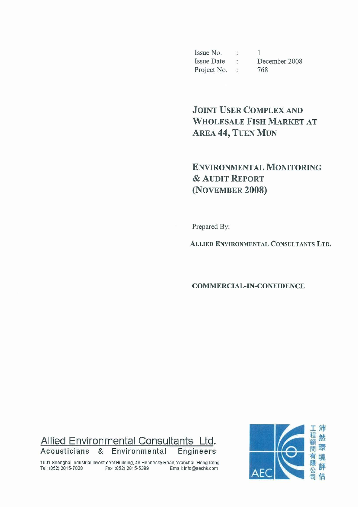Issue No. :  $\mathbf{1}$ Issue Date : December 2008 Project No. : 768

# **JOINT USER COMPLEX AND WHOLESALE FISH MARKET AT AREA 44, TUEN MUN**

## **ENVIRONMENTAL MONITORING & AUDIT REPORT** (NOVEMBER 2008)

Prepared By:

ALLIED ENVIRONMENTAL CONSULTANTS LTD.

**COMMERCIAL-IN-CONFIDENCE** 



1001 Shanghai Industrial Investment Building, 48 Hennessy Road, Wanchai, Hong Kong Tel: (852) 2815-7028 Fax: (852) 2815-5399 Email: info@aechk.com

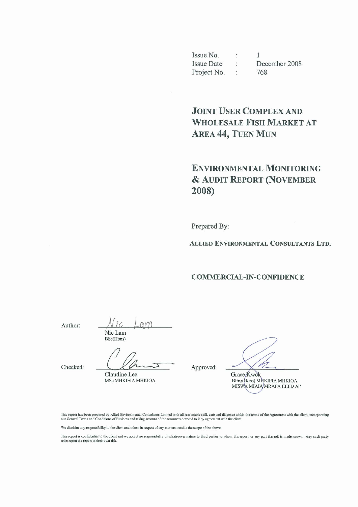Issue No.  $\mathbf{1}$  $\ddot{\phantom{a}}$ **Issue Date**  $\mathcal{L}$  . December 2008 Project No. : 768

## **JOINT USER COMPLEX AND WHOLESALE FISH MARKET AT AREA 44, TUEN MUN**

## **ENVIRONMENTAL MONITORING** & AUDIT REPORT (NOVEMBER 2008)

Prepared By:

ALLIED ENVIRONMENTAL CONSULTANTS LTD.

#### **COMMERCIAL-IN-CONFIDENCE**

Author:

 $AN$ Nic Lam BSc(Hons)

Checked:

Claudine Lee MSc MHKIEIA MHKIOA

Approved:

Grace Kwok

BEng(Hons) MNKIEIA MHKIOA<br>MISWA MIAIA MRAPA LEED AP

This report has been prepared by Allied Environmental Consultants Limited with all reasonable skill, care and diligence within the terms of the Agreement with the client, incorporating our General Terms and Conditions of B

We disclaim any responsibility to the client and others in respect of any matters outside the scope of the above.

This report is confidential to the client and we accept no responsibility of whatsoever nature to third parties to whom this report, or any part thereof, is made known. Any such party relies upon the report at their own risk.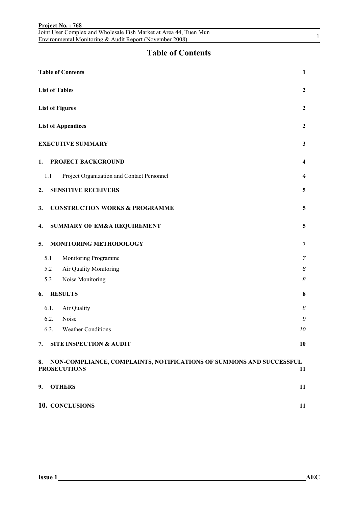|     | Joint User Complex and Wholesale Fish Market at Area 44, Tuen Mun<br>Environmental Monitoring & Audit Report (November 2008) | $\mathbf{1}$            |
|-----|------------------------------------------------------------------------------------------------------------------------------|-------------------------|
|     | <b>Table of Contents</b>                                                                                                     |                         |
|     | <b>Table of Contents</b>                                                                                                     | $\mathbf{1}$            |
|     | <b>List of Tables</b>                                                                                                        | $\boldsymbol{2}$        |
|     | <b>List of Figures</b>                                                                                                       | $\overline{2}$          |
|     | <b>List of Appendices</b>                                                                                                    | $\overline{2}$          |
|     | <b>EXECUTIVE SUMMARY</b>                                                                                                     | $\mathbf{3}$            |
| 1.  | PROJECT BACKGROUND                                                                                                           | $\overline{\mathbf{4}}$ |
| 1.1 | Project Organization and Contact Personnel                                                                                   | $\overline{4}$          |
| 2.  | <b>SENSITIVE RECEIVERS</b>                                                                                                   | 5                       |
| 3.  | <b>CONSTRUCTION WORKS &amp; PROGRAMME</b>                                                                                    | 5                       |
| 4.  | <b>SUMMARY OF EM&amp;A REQUIREMENT</b>                                                                                       | 5                       |
| 5.  | MONITORING METHODOLOGY                                                                                                       | 7                       |
| 5.1 | Monitoring Programme                                                                                                         | 7                       |
|     | Air Quality Monitoring<br>5.2                                                                                                | 8                       |
|     | Noise Monitoring<br>5.3                                                                                                      | 8                       |
| 6.  | <b>RESULTS</b>                                                                                                               | 8                       |
|     | Air Quality<br>6.1.                                                                                                          | 8                       |
|     | 6.2.<br>Noise                                                                                                                | 9                       |
|     | 6.3.<br><b>Weather Conditions</b>                                                                                            | 10                      |
| 7.  | <b>SITE INSPECTION &amp; AUDIT</b>                                                                                           | 10                      |
| 8.  | NON-COMPLIANCE, COMPLAINTS, NOTIFICATIONS OF SUMMONS AND SUCCESSFUL<br><b>PROSECUTIONS</b>                                   | 11                      |
| 9.  | <b>OTHERS</b>                                                                                                                | 11                      |
|     | 10. CONCLUSIONS                                                                                                              | 11                      |

**Project No. : 768** 

Joint User Complex and Wholesale Fish Market at Area 44, Tuen Mun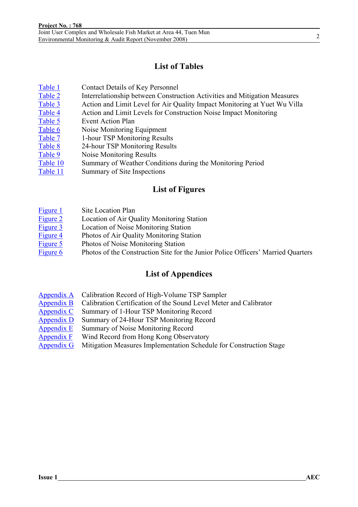## **List of Tables**

| Table 1 | <b>Contact Details of Key Personnel</b>                                   |
|---------|---------------------------------------------------------------------------|
| Table 2 | Interrelationship between Construction Activities and Mitigation Measures |
| Table 3 | Action and Limit Level for Air Quality Impact Monitoring at Yuet Wu Villa |
| Table 4 | Action and Limit Levels for Construction Noise Impact Monitoring          |
| Table 5 | Event Action Plan                                                         |
| Table 6 | Noise Monitoring Equipment                                                |
| Table 7 | 1-hour TSP Monitoring Results                                             |
| Table 8 | 24-hour TSP Monitoring Results                                            |
| Table 9 | Noise Monitoring Results                                                  |
|         |                                                                           |

- Table 10 Summary of Weather Conditions during the Monitoring Period
- Table 11 Summary of Site Inspections

### **List of Figures**

- Figure 1 Site Location Plan
- Figure 2 Location of Air Quality Monitoring Station
- Figure 3 Location of Noise Monitoring Station
- Figure 4 Photos of Air Quality Monitoring Station
- Figure 5 Photos of Noise Monitoring Station
- Figure 6 Photos of the Construction Site for the Junior Police Officers' Married Quarters

## **List of Appendices**

- Appendix A Calibration Record of High-Volume TSP Sampler
- Appendix B Calibration Certification of the Sound Level Meter and Calibrator
- Appendix C Summary of 1-Hour TSP Monitoring Record
- Appendix D Summary of 24-Hour TSP Monitoring Record
- Appendix E Summary of Noise Monitoring Record
- Appendix F Wind Record from Hong Kong Observatory
- Appendix G Mitigation Measures Implementation Schedule for Construction Stage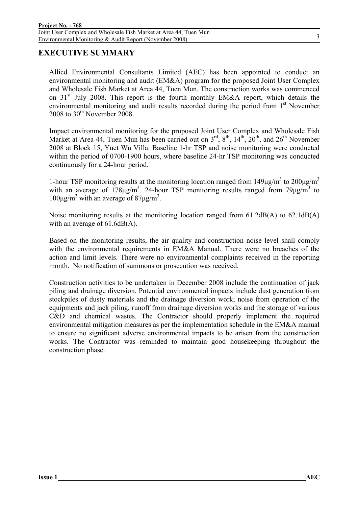### **EXECUTIVE SUMMARY**

Allied Environmental Consultants Limited (AEC) has been appointed to conduct an environmental monitoring and audit (EM&A) program for the proposed Joint User Complex and Wholesale Fish Market at Area 44, Tuen Mun. The construction works was commenced on 31<sup>st</sup> July 2008. This report is the fourth monthly EM&A report, which details the environmental monitoring and audit results recorded during the period from  $1<sup>st</sup>$  November 2008 to  $30<sup>th</sup>$  November 2008.

Impact environmental monitoring for the proposed Joint User Complex and Wholesale Fish Market at Area 44, Tuen Mun has been carried out on  $3^{rd}$ ,  $8^{th}$ ,  $14^{th}$ ,  $20^{th}$ , and  $26^{th}$  November 2008 at Block 15, Yuet Wu Villa. Baseline 1-hr TSP and noise monitoring were conducted within the period of 0700-1900 hours, where baseline 24-hr TSP monitoring was conducted continuously for a 24-hour period.

1-hour TSP monitoring results at the monitoring location ranged from  $149 \mu g/m^3$  to  $200 \mu g/m^3$ with an average of  $178\mu g/m^3$ . 24-hour TSP monitoring results ranged from  $79\mu g/m^3$  to  $100\mu g/m<sup>3</sup>$  with an average of 87 $\mu g/m<sup>3</sup>$ .

Noise monitoring results at the monitoring location ranged from 61.2dB(A) to 62.1dB(A) with an average of 61.6dB(A).

Based on the monitoring results, the air quality and construction noise level shall comply with the environmental requirements in EM&A Manual. There were no breaches of the action and limit levels. There were no environmental complaints received in the reporting month. No notification of summons or prosecution was received.

Construction activities to be undertaken in December 2008 include the continuation of jack piling and drainage diversion. Potential environmental impacts include dust generation from stockpiles of dusty materials and the drainage diversion work; noise from operation of the equipments and jack piling, runoff from drainage diversion works and the storage of various C&D and chemical wastes. The Contractor should properly implement the required environmental mitigation measures as per the implementation schedule in the EM&A manual to ensure no significant adverse environmental impacts to be arisen from the construction works. The Contractor was reminded to maintain good housekeeping throughout the construction phase.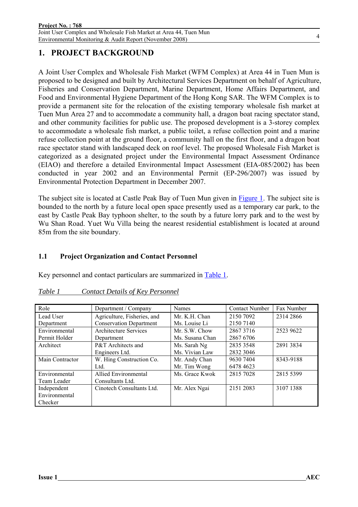Joint User Complex and Wholesale Fish Market at Area 44, Tuen Mun Environmental Monitoring & Audit Report (November 2008)

## **1. PROJECT BACKGROUND**

A Joint User Complex and Wholesale Fish Market (WFM Complex) at Area 44 in Tuen Mun is proposed to be designed and built by Architectural Services Department on behalf of Agriculture, Fisheries and Conservation Department, Marine Department, Home Affairs Department, and Food and Environmental Hygiene Department of the Hong Kong SAR. The WFM Complex is to provide a permanent site for the relocation of the existing temporary wholesale fish market at Tuen Mun Area 27 and to accommodate a community hall, a dragon boat racing spectator stand, and other community facilities for public use. The proposed development is a 3-storey complex to accommodate a wholesale fish market, a public toilet, a refuse collection point and a marine refuse collection point at the ground floor, a community hall on the first floor, and a dragon boat race spectator stand with landscaped deck on roof level. The proposed Wholesale Fish Market is categorized as a designated project under the Environmental Impact Assessment Ordinance (EIAO) and therefore a detailed Environmental Impact Assessment (EIA-085/2002) has been conducted in year 2002 and an Environmental Permit (EP-296/2007) was issued by Environmental Protection Department in December 2007.

The subject site is located at Castle Peak Bay of Tuen Mun given in Figure 1. The subject site is bounded to the north by a future local open space presently used as a temporary car park, to the east by Castle Peak Bay typhoon shelter, to the south by a future lorry park and to the west by Wu Shan Road. Yuet Wu Villa being the nearest residential establishment is located at around 85m from the site boundary.

### **1.1 Project Organization and Contact Personnel**

Key personnel and contact particulars are summarized in Table 1.

| Role            | Department / Company           | <b>Names</b>    | <b>Contact Number</b> | Fax Number |
|-----------------|--------------------------------|-----------------|-----------------------|------------|
| Lead User       | Agriculture, Fisheries, and    | Mr. K.H. Chan   | 2150 7092             | 2314 2866  |
| Department      | <b>Conservation Department</b> | Ms. Louise Li   | 2150 7140             |            |
| Environmental   | Architecture Services          | Mr. S.W. Chow   | 28673716              | 2523 9622  |
| Permit Holder   | Department                     | Ms. Susana Chan | 2867 6706             |            |
| Architect       | P&T Architects and             | Ms. Sarah Ng    | 2835 3548             | 2891 3834  |
|                 | Engineers Ltd.                 | Ms. Vivian Law  | 2832 3046             |            |
| Main Contractor | W. Hing Construction Co.       | Mr. Andy Chan   | 9630 7404             | 8343-9188  |
|                 | Ltd.                           | Mr. Tim Wong    | 6478 4623             |            |
| Environmental   | <b>Allied Environmental</b>    | Ms. Grace Kwok  | 2815 7028             | 2815 5399  |
| Team Leader     | Consultants Ltd.               |                 |                       |            |
| Independent     | Cinotech Consultants Ltd.      | Mr. Alex Ngai   | 2151 2083             | 3107 1388  |
| Environmental   |                                |                 |                       |            |
| Checker         |                                |                 |                       |            |

#### *Table 1 Contact Details of Key Personnel*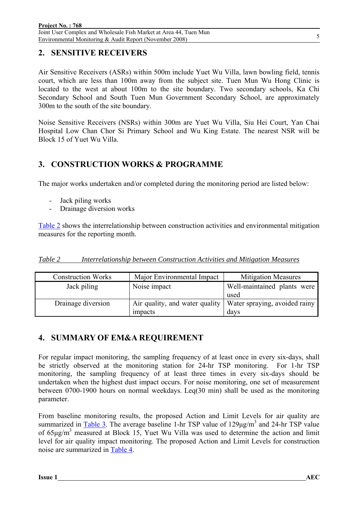## **2. SENSITIVE RECEIVERS**

Air Sensitive Receivers (ASRs) within 500m include Yuet Wu Villa, lawn bowling field, tennis court, which are less than 100m away from the subject site. Tuen Mun Wu Hong Clinic is located to the west at about 100m to the site boundary. Two secondary schools, Ka Chi Secondary School and South Tuen Mun Government Secondary School, are approximately 300m to the south of the site boundary.

Noise Sensitive Receivers (NSRs) within 300m are Yuet Wu Villa, Siu Hei Court, Yan Chai Hospital Low Chan Chor Si Primary School and Wu King Estate. The nearest NSR will be Block 15 of Yuet Wu Villa.

## **3. CONSTRUCTION WORKS & PROGRAMME**

The major works undertaken and/or completed during the monitoring period are listed below:

- Jack piling works
- Drainage diversion works

Table 2 shows the interrelationship between construction activities and environmental mitigation measures for the reporting month.

|--|

| <b>Construction Works</b> | Major Environmental Impact | <b>Mitigation Measures</b>                                     |
|---------------------------|----------------------------|----------------------------------------------------------------|
| Jack piling               | Noise impact               | Well-maintained plants were<br>used                            |
| Drainage diversion        |                            | Air quality, and water quality   Water spraying, avoided rainy |
|                           | impacts                    | days                                                           |

## **4. SUMMARY OF EM&A REQUIREMENT**

For regular impact monitoring, the sampling frequency of at least once in every six-days, shall be strictly observed at the monitoring station for 24-hr TSP monitoring. For 1-hr TSP monitoring, the sampling frequency of at least three times in every six-days should be undertaken when the highest dust impact occurs. For noise monitoring, one set of measurement between 0700-1900 hours on normal weekdays. Leq(30 min) shall be used as the monitoring parameter.

From baseline monitoring results, the proposed Action and Limit Levels for air quality are summarized in  $\frac{\text{Table 3}}{\text{Table 3}}$ . The average baseline 1-hr TSP value of  $129 \mu g/m^3$  and 24-hr TSP value of  $65\mu\text{g/m}^3$  measured at Block 15, Yuet Wu Villa was used to determine the action and limit level for air quality impact monitoring. The proposed Action and Limit Levels for construction noise are summarized in Table 4.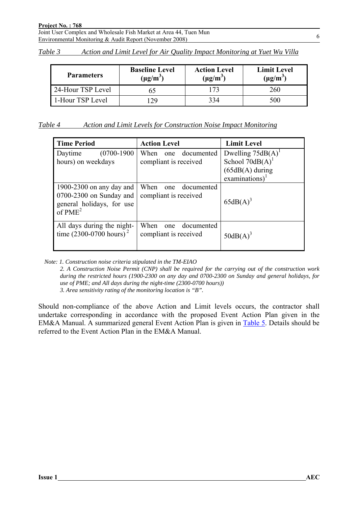#### **Project No. : 768**

Joint User Complex and Wholesale Fish Market at Area 44, Tuen Mun Environmental Monitoring & Audit Report (November 2008)

| Table 3 | Action and Limit Level for Air Quality Impact Monitoring at Yuet Wu Villa |  |  |  |  |
|---------|---------------------------------------------------------------------------|--|--|--|--|
|         |                                                                           |  |  |  |  |

| <b>Baseline Level</b><br><b>Parameters</b><br>$(\mu g/m^3)$ |    | <b>Action Level</b><br>$(\mu g/m^3)$ | <b>Limit Level</b><br>$(\mu g/m^3)$ |
|-------------------------------------------------------------|----|--------------------------------------|-------------------------------------|
| 24-Hour TSP Level                                           |    |                                      | 260                                 |
| 1-Hour TSP Level                                            | 29 | 334                                  | 500                                 |

| Action and Limit Levels for Construction Noise Impact Monitoring |
|------------------------------------------------------------------|
|------------------------------------------------------------------|

| <b>Time Period</b>                                                                              | <b>Action Level</b>                                | <b>Limit Level</b>                                                                                        |
|-------------------------------------------------------------------------------------------------|----------------------------------------------------|-----------------------------------------------------------------------------------------------------------|
| $(0700-1900)$<br>Daytime<br>hours) on weekdays                                                  | documented<br>When<br>one<br>compliant is received | Dwelling $75dB(A)^T$<br>School $70dB(A)$ <sup>1</sup><br>$(65dB(A)$ during<br>$examinations$ <sup>1</sup> |
| 1900-2300 on any day and<br>$0700-2300$ on Sunday and<br>general holidays, for use<br>of $PME2$ | When<br>documented<br>one<br>compliant is received | $65dB(A)^3$                                                                                               |
| All days during the night-<br>time $(2300-0700 \text{ hours})^2$                                | When<br>documented<br>one<br>compliant is received | $50dB(A)^3$                                                                                               |

*Note: 1. Construction noise criteria stipulated in the TM-EIAO* 

*2. A Construction Noise Permit (CNP) shall be required for the carrying out of the construction work during the restricted hours (1900-2300 on any day and 0700-2300 on Sunday and general holidays, for use of PME; and All days during the night-time (2300-0700 hours)) 3. Area sensitivity rating of the monitoring location is "B".* 

Should non-compliance of the above Action and Limit levels occurs, the contractor shall undertake corresponding in accordance with the proposed Event Action Plan given in the EM&A Manual. A summarized general Event Action Plan is given in Table 5. Details should be referred to the Event Action Plan in the EM&A Manual.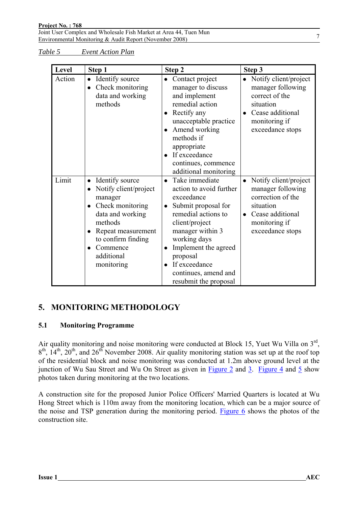Joint User Complex and Wholesale Fish Market at Area 44, Tuen Mun Environmental Monitoring & Audit Report (November 2008)

*Table 5 Event Action Plan*

| Level  | Step 1                                                                                                                                                                                                  | Step 2                                                                                                                                                                                                                                                                                                                | Step 3                                                                                                                                                          |
|--------|---------------------------------------------------------------------------------------------------------------------------------------------------------------------------------------------------------|-----------------------------------------------------------------------------------------------------------------------------------------------------------------------------------------------------------------------------------------------------------------------------------------------------------------------|-----------------------------------------------------------------------------------------------------------------------------------------------------------------|
| Action | Identify source<br>$\bullet$<br>Check monitoring<br>data and working<br>methods                                                                                                                         | Contact project<br>$\bullet$<br>manager to discuss<br>and implement<br>remedial action<br>Rectify any<br>unacceptable practice<br>Amend working<br>methods if<br>appropriate<br>If exceedance<br>continues, commence<br>additional monitoring                                                                         | Notify client/project<br>$\bullet$<br>manager following<br>correct of the<br>situation<br>Cease additional<br>$\bullet$<br>monitoring if<br>exceedance stops    |
| Limit  | Identify source<br>$\bullet$<br>Notify client/project<br>manager<br>Check monitoring<br>data and working<br>methods<br>Repeat measurement<br>to confirm finding<br>Commence<br>additional<br>monitoring | Take immediate<br>$\bullet$<br>action to avoid further<br>exceedance<br>Submit proposal for<br>$\bullet$<br>remedial actions to<br>client/project<br>manager within 3<br>working days<br>Implement the agreed<br>$\bullet$<br>proposal<br>If exceedance<br>$\bullet$<br>continues, amend and<br>resubmit the proposal | Notify client/project<br>$\bullet$<br>manager following<br>correction of the<br>situation<br>Cease additional<br>$\bullet$<br>monitoring if<br>exceedance stops |

## **5. MONITORING METHODOLOGY**

### **5.1 Monitoring Programme**

Air quality monitoring and noise monitoring were conducted at Block 15, Yuet Wu Villa on 3<sup>rd</sup>,  $8<sup>th</sup>$ ,  $14<sup>th</sup>$ ,  $20<sup>th</sup>$ , and  $26<sup>th</sup>$  November 2008. Air quality monitoring station was set up at the roof top of the residential block and noise monitoring was conducted at 1.2m above ground level at the junction of Wu Sau Street and Wu On Street as given in Figure 2 and 3. Figure 4 and 5 show photos taken during monitoring at the two locations.

A construction site for the proposed Junior Police Officers' Married Quarters is located at Wu Hong Street which is 110m away from the monitoring location, which can be a major source of the noise and TSP generation during the monitoring period. Figure 6 shows the photos of the construction site.

7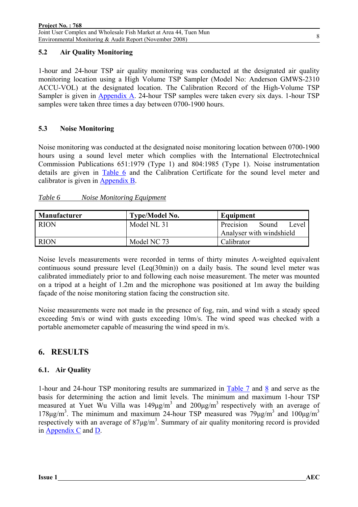### **5.2 Air Quality Monitoring**

1-hour and 24-hour TSP air quality monitoring was conducted at the designated air quality monitoring location using a High Volume TSP Sampler (Model No: Anderson GMWS-2310 ACCU-VOL) at the designated location. The Calibration Record of the High-Volume TSP Sampler is given in Appendix A. 24-hour TSP samples were taken every six days. 1-hour TSP samples were taken three times a day between 0700-1900 hours.

### **5.3 Noise Monitoring**

Noise monitoring was conducted at the designated noise monitoring location between 0700-1900 hours using a sound level meter which complies with the International Electrotechnical Commission Publications 651:1979 (Type 1) and 804:1985 (Type 1). Noise instrumentation details are given in Table 6 and the Calibration Certificate for the sound level meter and calibrator is given in Appendix B.

### *Table 6 Noise Monitoring Equipment*

| Manufacturer | <b>Type/Model No.</b> | Equipment                   |
|--------------|-----------------------|-----------------------------|
| <b>RION</b>  | Model NL 31           | Sound<br>Precision<br>Level |
|              |                       | Analyser with windshield    |
| <b>RION</b>  | Model NC 73           | Calibrator                  |

Noise levels measurements were recorded in terms of thirty minutes A-weighted equivalent continuous sound pressure level (Leq(30min)) on a daily basis. The sound level meter was calibrated immediately prior to and following each noise measurement. The meter was mounted on a tripod at a height of 1.2m and the microphone was positioned at 1m away the building façade of the noise monitoring station facing the construction site.

Noise measurements were not made in the presence of fog, rain, and wind with a steady speed exceeding 5m/s or wind with gusts exceeding 10m/s. The wind speed was checked with a portable anemometer capable of measuring the wind speed in m/s.

## **6. RESULTS**

### **6.1. Air Quality**

1-hour and 24-hour TSP monitoring results are summarized in Table 7 and 8 and serve as the basis for determining the action and limit levels. The minimum and maximum 1-hour TSP measured at Yuet Wu Villa was  $149 \mu g/m^3$  and  $200 \mu g/m^3$  respectively with an average of 178μg/m<sup>3</sup>. The minimum and maximum 24-hour TSP measured was  $79\mu$ g/m<sup>3</sup> and  $100\mu$ g/m<sup>3</sup> respectively with an average of  $87\mu\text{g/m}^3$ . Summary of air quality monitoring record is provided in Appendix C and D.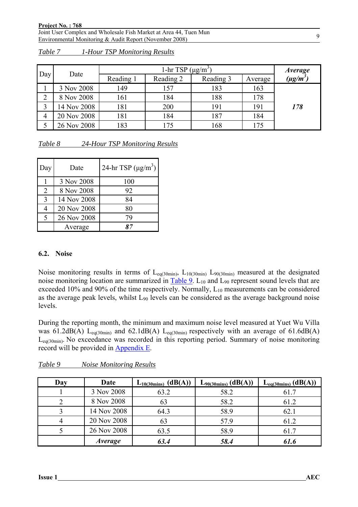Joint User Complex and Wholesale Fish Market at Area 44, Tuen Mun Environmental Monitoring & Audit Report (November 2008)

|     |             |           | 1-hr TSP $(\mu g/m^3)$ |           |         | <i>Average</i> |
|-----|-------------|-----------|------------------------|-----------|---------|----------------|
| Day | Date        | Reading 1 | Reading 2              | Reading 3 | Average | $(\mu g/m^3)$  |
|     | 3 Nov 2008  | 149       | 157                    | 183       | 163     |                |
| ာ   | 8 Nov 2008  | 161       | 184                    | 188       | 178     |                |
|     | 14 Nov 2008 | 181       | 200                    | 191       | 191     | 178            |
| 4   | 20 Nov 2008 | 181       | 184                    | 187       | 184     |                |
|     | 26 Nov 2008 | 183       | .75                    | 168       | 175     |                |

*Table 7 1-Hour TSP Monitoring Results*

| Table 8 | 24-Hour TSP Monitoring Results |  |
|---------|--------------------------------|--|
|         |                                |  |

| Day                      | Date        | 24-hr TSP $(\mu g/m^3)$ |
|--------------------------|-------------|-------------------------|
|                          | 3 Nov 2008  | 100                     |
| 2                        | 8 Nov 2008  | 92                      |
| $\mathbf{c}$             | 14 Nov 2008 | 84                      |
|                          | 20 Nov 2008 | 80                      |
| $\overline{\mathcal{L}}$ | 26 Nov 2008 | 79                      |
|                          | Average     |                         |

#### **6.2. Noise**

Noise monitoring results in terms of  $L_{eq(30min)}$ ,  $L_{10(30min)}$   $L_{90(30min)}$  measured at the designated noise monitoring location are summarized in Table 9.  $L_{10}$  and  $L_{90}$  represent sound levels that are exceeded 10% and 90% of the time respectively. Normally,  $L_{10}$  measurements can be considered as the average peak levels, whilst  $L_{90}$  levels can be considered as the average background noise levels.

During the reporting month, the minimum and maximum noise level measured at Yuet Wu Villa was 61.2dB(A) L<sub>eq(30min)</sub> and 62.1dB(A) L<sub>eq(30min)</sub> respectively with an average of 61.6dB(A) L<sub>eq(30min)</sub>. No exceedance was recorded in this reporting period. Summary of noise monitoring record will be provided in Appendix E.

| Day | Date           | (dB(A))<br>$L_{10(30\text{mins})}$ | $L_{90(30\text{mins})}$ (dB(A)) | $L_{eq(30 mins)}$ (dB(A)) |
|-----|----------------|------------------------------------|---------------------------------|---------------------------|
|     | 3 Nov 2008     | 63.2                               | 58.2                            | 61.7                      |
|     | 8 Nov 2008     | 63                                 | 58.2                            | 61.2                      |
|     | 14 Nov 2008    | 64.3                               | 58.9                            | 62.1                      |
|     | 20 Nov 2008    | 63                                 | 57.9                            | 61.2                      |
|     | 26 Nov 2008    | 63.5                               | 58.9                            | 61.7                      |
|     | <i>Average</i> | 63.4                               | 58.4                            | 61.6                      |

*Table 9 Noise Monitoring Results*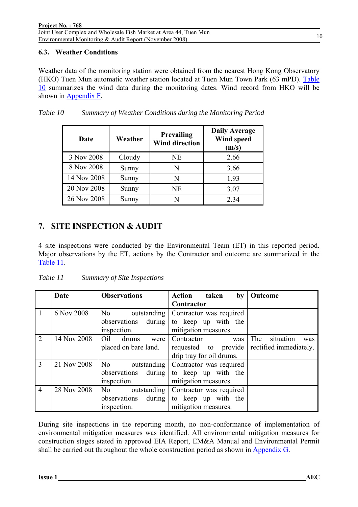#### 10

#### **6.3. Weather Conditions**

Weather data of the monitoring station were obtained from the nearest Hong Kong Observatory (HKO) Tuen Mun automatic weather station located at Tuen Mun Town Park (63 mPD). Table 10 summarizes the wind data during the monitoring dates. Wind record from HKO will be shown in Appendix F.

| Date        | Prevailing<br>Weather<br><b>Wind direction</b> |    | <b>Daily Average</b><br>Wind speed<br>(m/s) |  |  |
|-------------|------------------------------------------------|----|---------------------------------------------|--|--|
| 3 Nov 2008  | Cloudy                                         | NE | 2.66                                        |  |  |
| 8 Nov 2008  | Sunny                                          | N  | 3.66                                        |  |  |
| 14 Nov 2008 | Sunny                                          | N  | 1.93                                        |  |  |
| 20 Nov 2008 | Sunny                                          | NE | 3.07                                        |  |  |
| 26 Nov 2008 | Sunny                                          | N  | 2.34                                        |  |  |

| Table 10 |  |  |  | Summary of Weather Conditions during the Monitoring Period |  |
|----------|--|--|--|------------------------------------------------------------|--|
|          |  |  |  |                                                            |  |

## **7. SITE INSPECTION & AUDIT**

4 site inspections were conducted by the Environmental Team (ET) in this reported period. Major observations by the ET, actions by the Contractor and outcome are summarized in the Table 11.

| Table 11 | <b>Summary of Site Inspections</b> |
|----------|------------------------------------|
|          |                                    |

|                | Date        | <b>Observations</b>           | Action<br>taken<br>$\mathbf{b}\mathbf{v}$   | Outcome                 |
|----------------|-------------|-------------------------------|---------------------------------------------|-------------------------|
|                |             |                               | Contractor                                  |                         |
| $\vert$ 1      | 6 Nov 2008  | N <sub>o</sub><br>outstanding | Contractor was required                     |                         |
|                |             | observations during           | to keep up with the                         |                         |
|                |             | inspection.                   | mitigation measures.                        |                         |
| 2              | 14 Nov 2008 | Oil<br>drums<br>were          | Contractor<br>was                           | The<br>situation<br>was |
|                |             | placed on bare land.          | requested to provide rectified immediately. |                         |
|                |             |                               | drip tray for oil drums.                    |                         |
| $\overline{3}$ | 21 Nov 2008 | N <sub>o</sub><br>outstanding | Contractor was required                     |                         |
|                |             | observations during           | to keep up with the                         |                         |
|                |             | inspection.                   | mitigation measures.                        |                         |
| $\overline{4}$ | 28 Nov 2008 | N <sub>o</sub><br>outstanding | Contractor was required                     |                         |
|                |             | observations<br>during        | to keep up with the                         |                         |
|                |             | inspection.                   | mitigation measures.                        |                         |

During site inspections in the reporting month, no non-conformance of implementation of environmental mitigation measures was identified. All environmental mitigation measures for construction stages stated in approved EIA Report, EM&A Manual and Environmental Permit shall be carried out throughout the whole construction period as shown in Appendix G.